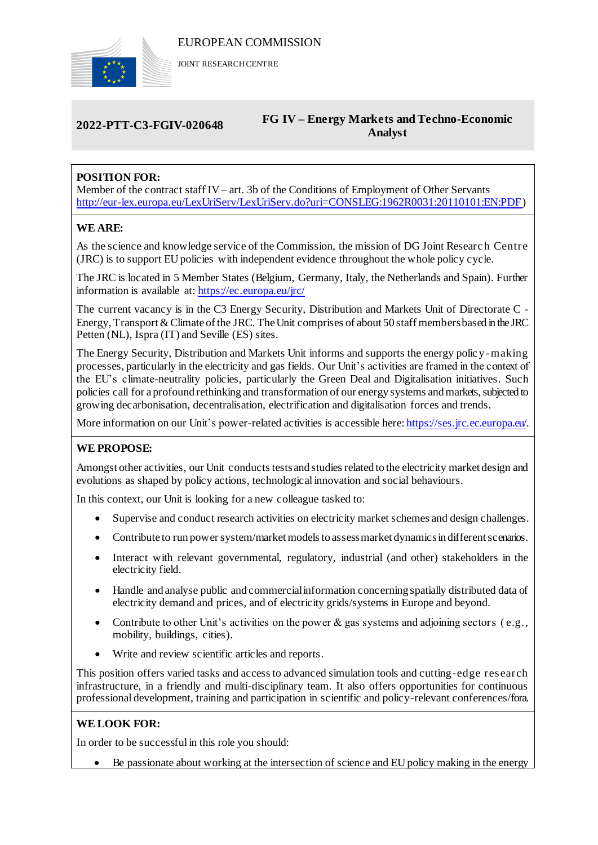

JOINT RESEARCH CENTRE

# **2022-PTT-C3-FGIV-020648 FG IV – Energy Markets and Techno-Economic Analyst**

# **POSITION FOR:**

Member of the contract staff IV– art. 3b of the Conditions of Employment of Other Servants [http://eur-lex.europa.eu/LexUriServ/LexUriServ.do?uri=CONSLEG:1962R0031:20110101:EN:PDF\)](http://eur-lex.europa.eu/LexUriServ/LexUriServ.do?uri=CONSLEG:1962R0031:20110101:EN:PDF)

## **WE ARE:**

As the science and knowledge service of the Commission, the mission of DG Joint Researc h Centre (JRC) is to support EU policies with independent evidence throughout the whole policy cycle.

The JRC is located in 5 Member States (Belgium, Germany, Italy, the Netherlands and Spain). Further information is available at: <https://ec.europa.eu/jrc/>

The current vacancy is in the C3 Energy Security, Distribution and Markets Unit of Directorate C - Energy, Transport & Climate of the JRC. The Unit comprises of about 50 staff members based in the JRC Petten (NL), Ispra (IT) and Seville (ES) sites.

The Energy Security, Distribution and Markets Unit informs and supports the energy polic y -making processes, particularly in the electricity and gas fields. Our Unit's activities are framed in the context of the EU's climate-neutrality policies, particularly the Green Deal and Digitalisation initiatives. Such policies call for a profound rethinking and transformation of our energy systems and markets, subjected to growing decarbonisation, decentralisation, electrification and digitalisation forces and trends.

More information on our Unit's power-related activities is accessible here[: https://ses.jrc.ec.europa.eu/.](https://ses.jrc.ec.europa.eu/)

### **WE PROPOSE:**

Amongst other activities, our Unit conducts tests and studies related to the electricity market design and evolutions as shaped by policy actions, technological innovation and social behaviours.

In this context, our Unit is looking for a new colleague tasked to:

- Supervise and conduct research activities on electricity market schemes and design challenges.
- Contribute to run power system/market models to assess market dynamics in different scenarios.
- Interact with relevant governmental, regulatory, industrial (and other) stakeholders in the electricity field.
- Handle and analyse public and commercial information concerning spatially distributed data of electricity demand and prices, and of electricity grids/systems in Europe and beyond.
- Contribute to other Unit's activities on the power  $\&$  gas systems and adjoining sectors (e.g., mobility, buildings, cities).
- Write and review scientific articles and reports.

This position offers varied tasks and access to advanced simulation tools and cutting-edge research infrastructure, in a friendly and multi-disciplinary team. It also offers opportunities for continuous professional development, training and participation in scientific and policy-relevant conferences/fora.

### **WE LOOK FOR:**

In order to be successful in this role you should:

Be passionate about working at the intersection of science and EU policy making in the energy